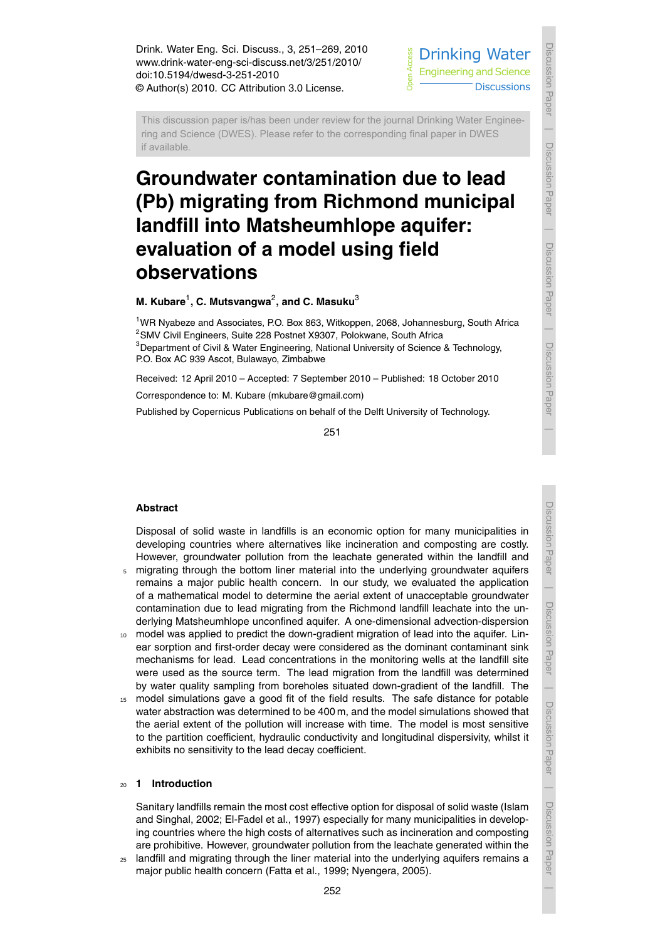

ring and Science (DWES). Please refer to the corresponding final paper in DWES<br>if available.<br>**Groundwater contamination due to lead** Science<br>Science (Science Science<br>Science (Science i<br>d This discussion paper is/has been under review for the journal Drinking Water Engineering and Science (DWES). Please refer to the corresponding final paper in DWES if available.

# **(Pb) migrating from Richmond municipal landfill into Matsheumhlope aquifer: evaluation of a model using field observations**

# $M$ . Kubare $^1$ , C. Mutsvangwa $^2$ , and C. Masuku $^3$

<sup>1</sup>WR Nyabeze and Associates, P.O. Box 863, Witkoppen, 2068, Johannesburg, South Africa <sup>2</sup>SMV Civil Engineers, Suite 228 Postnet X9307, Polokwane, South Africa <sup>3</sup>Department of Civil & Water Engineering, National University of Science & Technology, P.O. Box AC 939 Ascot, Bulawayo, Zimbabwe

Received: 12 April 2010 – Accepted: 7 September 2010 – Published: 18 October 2010

Correspondence to: M. Kubare (mkubare@gmail.com)

Published by Copernicus Publications on behalf of the Delft University of Technology.

251

## **Abstract**

Disposal of solid waste in landfills is an economic option for many municipalities in developing countries where alternatives like incineration and composting are costly. However, groundwater pollution from the leachate generated within the landfill and

- <sup>5</sup> migrating through the bottom liner material into the underlying groundwater aquifers remains a major public health concern. In our study, we evaluated the application of a mathematical model to determine the aerial extent of unacceptable groundwater contamination due to lead migrating from the Richmond landfill leachate into the underlying Matsheumhlope unconfined aquifer. A one-dimensional advection-dispersion
- 10 model was applied to predict the down-gradient migration of lead into the aquifer. Linear sorption and first-order decay were considered as the dominant contaminant sink mechanisms for lead. Lead concentrations in the monitoring wells at the landfill site were used as the source term. The lead migration from the landfill was determined by water quality sampling from boreholes situated down-gradient of the landfill. The
- <sup>15</sup> model simulations gave a good fit of the field results. The safe distance for potable water abstraction was determined to be 400 m, and the model simulations showed that the aerial extent of the pollution will increase with time. The model is most sensitive to the partition coefficient, hydraulic conductivity and longitudinal dispersivity, whilst it exhibits no sensitivity to the lead decay coefficient.

## <sup>20</sup> **1 Introduction**

Sanitary landfills remain the most cost effective option for disposal of solid waste (Islam and Singhal, 2002; El-Fadel et al., 1997) especially for many municipalities in developing countries where the high costs of alternatives such as incineration and composting are prohibitive. However, groundwater pollution from the leachate generated within the

<sup>25</sup> landfill and migrating through the liner material into the underlying aquifers remains a major public health concern (Fatta et al., 1999; Nyengera, 2005).

Discussion Paper

Discussion Pape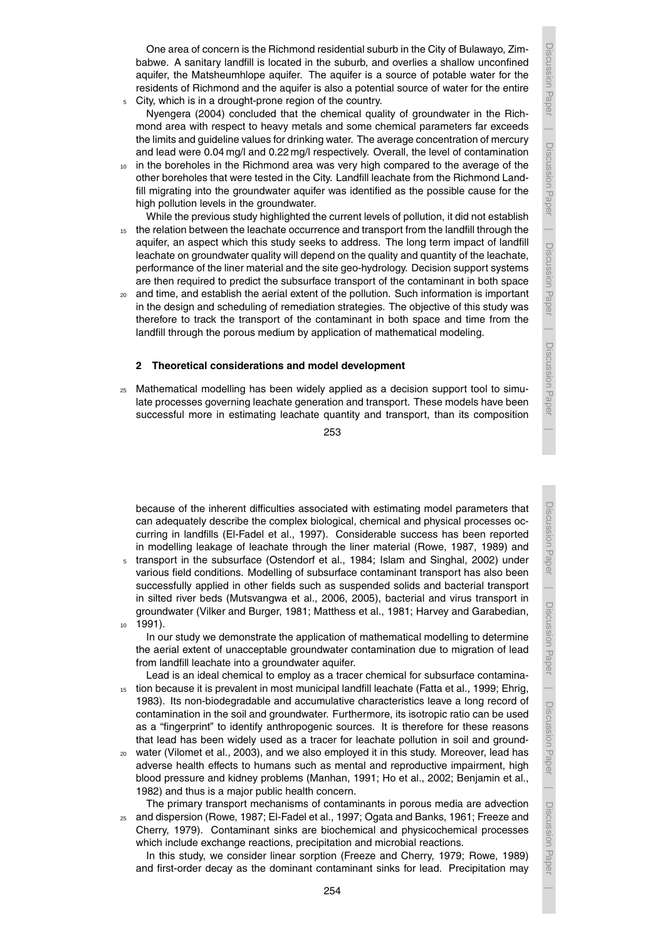One area of concern is the Richmond residential suburb in the City of Bulawayo, Zimbabwe. A sanitary landfill is located in the suburb, and overlies a shallow unconfined aquifer, the Matsheumhlope aquifer. The aquifer is a source of potable water for the residents of Richmond and the aquifer is also a potential source of water for the entire <sup>5</sup> City, which is in a drought-prone region of the country.

Nyengera (2004) concluded that the chemical quality of groundwater in the Richmond area with respect to heavy metals and some chemical parameters far exceeds the limits and guideline values for drinking water. The average concentration of mercury and lead were 0.04 mg/l and 0.22 mg/l respectively. Overall, the level of contamination

<sup>10</sup> in the boreholes in the Richmond area was very high compared to the average of the other boreholes that were tested in the City. Landfill leachate from the Richmond Landfill migrating into the groundwater aquifer was identified as the possible cause for the high pollution levels in the groundwater.

While the previous study highlighted the current levels of pollution, it did not establish

- <sup>15</sup> the relation between the leachate occurrence and transport from the landfill through the aquifer, an aspect which this study seeks to address. The long term impact of landfill leachate on groundwater quality will depend on the quality and quantity of the leachate, performance of the liner material and the site geo-hydrology. Decision support systems are then required to predict the subsurface transport of the contaminant in both space
- <sup>20</sup> and time, and establish the aerial extent of the pollution. Such information is important in the design and scheduling of remediation strategies. The objective of this study was therefore to track the transport of the contaminant in both space and time from the landfill through the porous medium by application of mathematical modeling.

#### **2 Theoretical considerations and model development**

<sup>25</sup> Mathematical modelling has been widely applied as a decision support tool to simulate processes governing leachate generation and transport. These models have been successful more in estimating leachate quantity and transport, than its composition

because of the inherent difficulties associated with estimating model parameters that can adequately describe the complex biological, chemical and physical processes occurring in landfills (El-Fadel et al., 1997). Considerable success has been reported in modelling leakage of leachate through the liner material (Rowe, 1987, 1989) and

<sup>5</sup> transport in the subsurface (Ostendorf et al., 1984; Islam and Singhal, 2002) under various field conditions. Modelling of subsurface contaminant transport has also been successfully applied in other fields such as suspended solids and bacterial transport in silted river beds (Mutsvangwa et al., 2006, 2005), bacterial and virus transport in groundwater (Vilker and Burger, 1981; Matthess et al., 1981; Harvey and Garabedian, <sup>10</sup> 1991).

In our study we demonstrate the application of mathematical modelling to determine the aerial extent of unacceptable groundwater contamination due to migration of lead from landfill leachate into a groundwater aquifer.

Lead is an ideal chemical to employ as a tracer chemical for subsurface contamina-

- <sup>15</sup> tion because it is prevalent in most municipal landfill leachate (Fatta et al., 1999; Ehrig, 1983). Its non-biodegradable and accumulative characteristics leave a long record of contamination in the soil and groundwater. Furthermore, its isotropic ratio can be used as a "fingerprint" to identify anthropogenic sources. It is therefore for these reasons that lead has been widely used as a tracer for leachate pollution in soil and ground-
- <sup>20</sup> water (Vilomet et al., 2003), and we also employed it in this study. Moreover, lead has adverse health effects to humans such as mental and reproductive impairment, high blood pressure and kidney problems (Manhan, 1991; Ho et al., 2002; Benjamin et al., 1982) and thus is a major public health concern.

The primary transport mechanisms of contaminants in porous media are advection <sup>25</sup> and dispersion (Rowe, 1987; El-Fadel et al., 1997; Ogata and Banks, 1961; Freeze and Cherry, 1979). Contaminant sinks are biochemical and physicochemical processes which include exchange reactions, precipitation and microbial reactions.

In this study, we consider linear sorption (Freeze and Cherry, 1979; Rowe, 1989) and first-order decay as the dominant contaminant sinks for lead. Precipitation may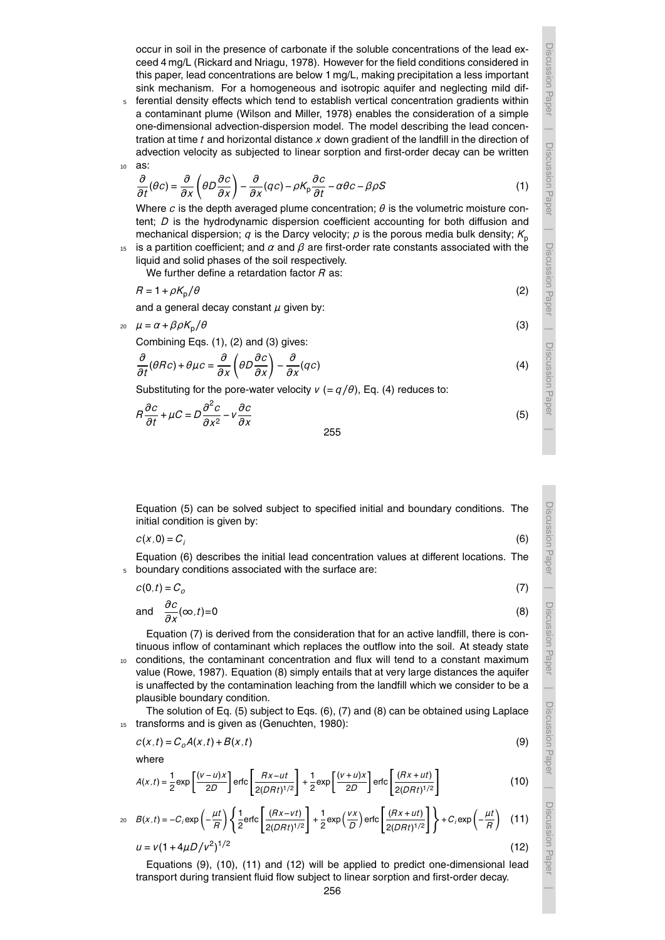occur in soil in the presence of carbonate if the soluble concentrations of the lead exceed 4 mg/L (Rickard and Nriagu, 1978). However for the field conditions considered in this paper, lead concentrations are below 1 mg/L, making precipitation a less important sink mechanism. For a homogeneous and isotropic aquifer and neglecting mild difDiscussion Paper

Discussion Paper

| Discussion Paper Discussion Paper

| Discussion Paper Discussion Paper

Discussion Paper

Discussion Paper

Discussion Paper

Discussion Paper

(6)

Discussion Paper

Discussion Paper | Discussion Paper

Discussion Paper

Discussion Paper

<sup>5</sup> ferential density effects which tend to establish vertical concentration gradients within a contaminant plume (Wilson and Miller, 1978) enables the consideration of a simple one-dimensional advection-dispersion model. The model describing the lead concentration at time *t* and horizontal distance *x* down gradient of the landfill in the direction of advection velocity as subjected to linear sorption and first-order decay can be written <sup>10</sup> as:

$$
\frac{\partial}{\partial t}(\theta c) = \frac{\partial}{\partial x}\left(\theta D \frac{\partial c}{\partial x}\right) - \frac{\partial}{\partial x}(qc) - \rho K_p \frac{\partial c}{\partial t} - \alpha \theta c - \beta \rho S \tag{1}
$$

Where *c* is the depth averaged plume concentration; *θ* is the volumetric moisture content; *D* is the hydrodynamic dispersion coefficient accounting for both diffusion and mechanical dispersion;  $q$  is the Darcy velocity;  $p$  is the porous media bulk density;  $K_p$ 

<sup>15</sup> is a partition coefficient; and *α* and *β* are first-order rate constants associated with the liquid and solid phases of the soil respectively.

We further define a retardation factor *R* as:

$$
R = 1 + \rho K_{\rm p} / \theta \tag{2}
$$

and a general decay constant  $\mu$  given by:

 $\mu = \alpha + \beta \rho K_p/\theta$  (3)

Combining Eqs. (1), (2) and (3) gives:

$$
\frac{\partial}{\partial t}(\theta R c) + \theta \mu c = \frac{\partial}{\partial x} \left( \theta D \frac{\partial c}{\partial x} \right) - \frac{\partial}{\partial x} (qc)
$$
\n(4)

Substituting for the pore-water velocity  $v (= q/\theta)$ , Eq. (4) reduces to:

$$
R\frac{\partial c}{\partial t} + \mu C = D\frac{\partial^2 c}{\partial x^2} - v\frac{\partial c}{\partial x}
$$
 (5)

255

Equation (5) can be solved subject to specified initial and boundary conditions. The initial condition is given by:

$$
C(x,0)=C_i
$$

Equation (6) describes the initial lead concentration values at different locations. The <sup>5</sup> boundary conditions associated with the surface are:

$$
c(0,t) = C_o \tag{7}
$$

and 
$$
\frac{\partial c}{\partial x}(\infty, t) = 0
$$
 (8)

Equation (7) is derived from the consideration that for an active landfill, there is continuous inflow of contaminant which replaces the outflow into the soil. At steady state

<sup>10</sup> conditions, the contaminant concentration and flux will tend to a constant maximum value (Rowe, 1987). Equation (8) simply entails that at very large distances the aquifer is unaffected by the contamination leaching from the landfill which we consider to be a plausible boundary condition.

The solution of Eq. (5) subject to Eqs. (6), (7) and (8) can be obtained using Laplace 15 transforms and is given as (Genuchten, 1980):

$$
c(x,t) = C_o A(x,t) + B(x,t)
$$
\n(9)

where

$$
A(x,t) = \frac{1}{2} \exp\left[\frac{(v-u)x}{2D}\right] \text{erfc}\left[\frac{Rx - ut}{2(DRt)^{1/2}}\right] + \frac{1}{2} \exp\left[\frac{(v+u)x}{2D}\right] \text{erfc}\left[\frac{(Rx + ut)}{2(DRt)^{1/2}}\right] \tag{10}
$$

$$
B(x,t) = -C_i \exp\left(-\frac{\mu t}{R}\right) \left\{ \frac{1}{2} \text{erfc}\left[\frac{(Rx - vt)}{2(DRt)^{1/2}}\right] + \frac{1}{2} \exp\left(\frac{vx}{D}\right) \text{erfc}\left[\frac{(Rx + ut)}{2(DRt)^{1/2}}\right] \right\} + C_i \exp\left(-\frac{\mu t}{R}\right) \tag{11}
$$
\n
$$
u = v(1 + 4\mu D/v^2)^{1/2} \tag{12}
$$

Equations (9), (10), (11) and (12) will be applied to predict one-dimensional lead transport during transient fluid flow subject to linear sorption and first-order decay.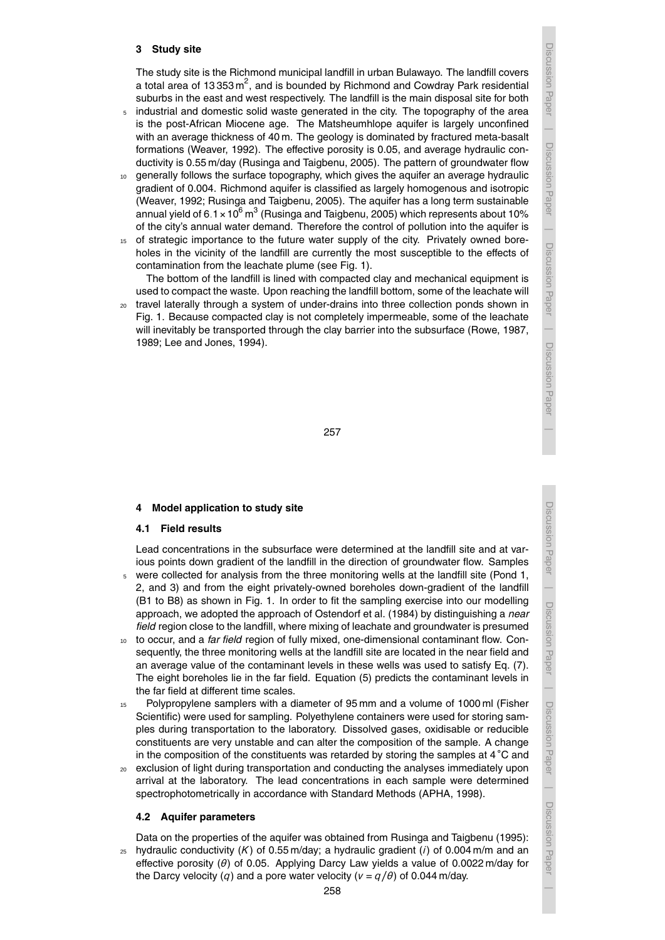#### **3 Study site**

The study site is the Richmond municipal landfill in urban Bulawayo. The landfill covers a total area of 13 353 m<sup>2</sup>, and is bounded by Richmond and Cowdray Park residential suburbs in the east and west respectively. The landfill is the main disposal site for both

- <sup>5</sup> industrial and domestic solid waste generated in the city. The topography of the area is the post-African Miocene age. The Matsheumhlope aquifer is largely unconfined with an average thickness of 40 m. The geology is dominated by fractured meta-basalt formations (Weaver, 1992). The effective porosity is 0.05, and average hydraulic conductivity is 0.55 m/day (Rusinga and Taigbenu, 2005). The pattern of groundwater flow
- <sup>10</sup> generally follows the surface topography, which gives the aquifer an average hydraulic gradient of 0.004. Richmond aquifer is classified as largely homogenous and isotropic (Weaver, 1992; Rusinga and Taigbenu, 2005). The aquifer has a long term sustainable annual yield of 6.1  $\times$  10 $^{6}$  m $^{3}$  (Rusinga and Taigbenu, 2005) which represents about 10% of the city's annual water demand. Therefore the control of pollution into the aquifer is
- <sup>15</sup> of strategic importance to the future water supply of the city. Privately owned boreholes in the vicinity of the landfill are currently the most susceptible to the effects of contamination from the leachate plume (see Fig. 1).

The bottom of the landfill is lined with compacted clay and mechanical equipment is used to compact the waste. Upon reaching the landfill bottom, some of the leachate will

<sup>20</sup> travel laterally through a system of under-drains into three collection ponds shown in Fig. 1. Because compacted clay is not completely impermeable, some of the leachate will inevitably be transported through the clay barrier into the subsurface (Rowe, 1987, 1989; Lee and Jones, 1994).

Discussion Paper

Discussion Paper

Discussion Paper

257

## **4 Model application to study site**

#### **4.1 Field results**

Lead concentrations in the subsurface were determined at the landfill site and at various points down gradient of the landfill in the direction of groundwater flow. Samples

- <sup>5</sup> were collected for analysis from the three monitoring wells at the landfill site (Pond 1, 2, and 3) and from the eight privately-owned boreholes down-gradient of the landfill (B1 to B8) as shown in Fig. 1. In order to fit the sampling exercise into our modelling approach, we adopted the approach of Ostendorf et al. (1984) by distinguishing a *near field* region close to the landfill, where mixing of leachate and groundwater is presumed
- <sup>10</sup> to occur, and a *far field* region of fully mixed, one-dimensional contaminant flow. Consequently, the three monitoring wells at the landfill site are located in the near field and an average value of the contaminant levels in these wells was used to satisfy Eq. (7). The eight boreholes lie in the far field. Equation (5) predicts the contaminant levels in the far field at different time scales.
- <sup>15</sup> Polypropylene samplers with a diameter of 95 mm and a volume of 1000 ml (Fisher Scientific) were used for sampling. Polyethylene containers were used for storing samples during transportation to the laboratory. Dissolved gases, oxidisable or reducible constituents are very unstable and can alter the composition of the sample. A change in the composition of the constituents was retarded by storing the samples at 4 ◦C and
- <sup>20</sup> exclusion of light during transportation and conducting the analyses immediately upon arrival at the laboratory. The lead concentrations in each sample were determined spectrophotometrically in accordance with Standard Methods (APHA, 1998).

#### **4.2 Aquifer parameters**

Data on the properties of the aquifer was obtained from Rusinga and Taigbenu (1995):  $25$  hydraulic conductivity (K) of 0.55 m/day; a hydraulic gradient (*i*) of 0.004 m/m and an effective porosity (*θ*) of 0.05. Applying Darcy Law yields a value of 0.0022 m/day for

the Darcy velocity (*q*) and a pore water velocity ( $v = q/\theta$ ) of 0.044 m/day.

Discussion Paper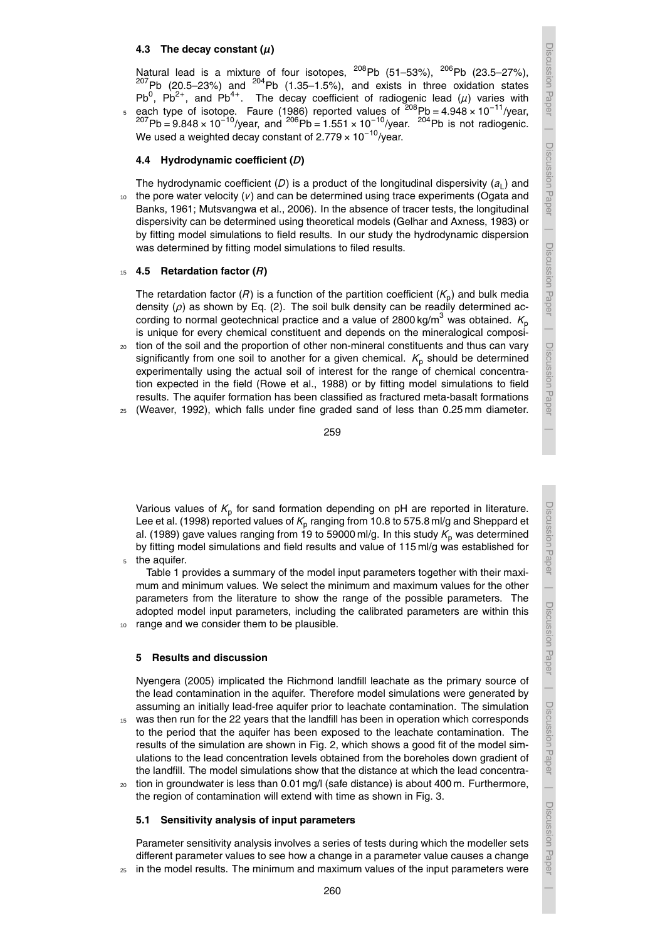## **4.3** The decay constant  $(\mu)$

Natural lead is a mixture of four isotopes,  $^{208}$ Pb (51–53%),  $^{206}$ Pb (23.5–27%),  $^{207}$ Pb (20.5–23%) and  $^{204}$ Pb (1.35–1.5%), and exists in three oxidation states Pb<sup>0</sup>, Pb<sup>2+</sup>, and Pb<sup>4+</sup>. The decay coefficient of radiogenic lead ( $\mu$ ) varies with  $5$  each type of isotope. Faure (1986) reported values of  $208$ Pb = 4.948 × 10<sup>-11</sup>/year,  $^{207}$ Pb = 9.848 × 10<sup>-10</sup>/year, and  $^{206}$ Pb = 1.551 × 10<sup>-10</sup>/year. <sup>204</sup>Pb is not radiogenic. We used a weighted decay constant of 2.779  $\times$  10<sup>-10</sup>/year.

### **4.4 Hydrodynamic coefficient (***D***)**

The hydrodynamic coefficient (D) is a product of the longitudinal dispersivity  $(a_{\mathsf{L}})$  and  $10<sub>10</sub>$  the pore water velocity  $(V)$  and can be determined using trace experiments (Ogata and Banks, 1961; Mutsvangwa et al., 2006). In the absence of tracer tests, the longitudinal dispersivity can be determined using theoretical models (Gelhar and Axness, 1983) or by fitting model simulations to field results. In our study the hydrodynamic dispersion was determined by fitting model simulations to filed results.

#### <sup>15</sup> **4.5 Retardation factor (***R***)**

The retardation factor (*R*) is a function of the partition coefficient ( $K_{\sf p}$ ) and bulk media density (*ρ*) as shown by Eq. (2). The soil bulk density can be readily determined according to normal geotechnical practice and a value of 2800 kg/m<sup>3</sup> was obtained.  $K_p$ is unique for every chemical constituent and depends on the mineralogical composi-

<sup>20</sup> tion of the soil and the proportion of other non-mineral constituents and thus can vary significantly from one soil to another for a given chemical.  $K_p$  should be determined experimentally using the actual soil of interest for the range of chemical concentration expected in the field (Rowe et al., 1988) or by fitting model simulations to field results. The aquifer formation has been classified as fractured meta-basalt formations  $25$  (Weaver, 1992), which falls under fine graded sand of less than 0.25 mm diameter.

Various values of  $K_{\text{p}}$  for sand formation depending on pH are reported in literature. Lee et al. (1998) reported values of  $\mathcal{K}_\text{p}$  ranging from 10.8 to 575.8 ml/g and Sheppard et al. (1989) gave values ranging from 19 to 59000 ml/g. In this study  $K_p$  was determined by fitting model simulations and field results and value of 115 ml/g was established for the aquifer.

Table 1 provides a summary of the model input parameters together with their maximum and minimum values. We select the minimum and maximum values for the other parameters from the literature to show the range of the possible parameters. The adopted model input parameters, including the calibrated parameters are within this 10 range and we consider them to be plausible.

#### **5 Results and discussion**

Nyengera (2005) implicated the Richmond landfill leachate as the primary source of the lead contamination in the aquifer. Therefore model simulations were generated by assuming an initially lead-free aquifer prior to leachate contamination. The simulation

- was then run for the 22 years that the landfill has been in operation which corresponds to the period that the aquifer has been exposed to the leachate contamination. The results of the simulation are shown in Fig. 2, which shows a good fit of the model simulations to the lead concentration levels obtained from the boreholes down gradient of the landfill. The model simulations show that the distance at which the lead concentra-<sup>20</sup> tion in groundwater is less than 0.01 mg/l (safe distance) is about 400 m. Furthermore,
- the region of contamination will extend with time as shown in Fig. 3.

#### **5.1 Sensitivity analysis of input parameters**

Parameter sensitivity analysis involves a series of tests during which the modeller sets different parameter values to see how a change in a parameter value causes a change

260

 $25$  in the model results. The minimum and maximum values of the input parameters were

Discussion Paper

Discussion Paper

| Discussion Paper Discussion Paper

| Discussion Paper Discussion Paper

Discussion Paper

Discussion Paper

Discussion Paper

Discussion Paper

Discussion Paper

Discussion Paper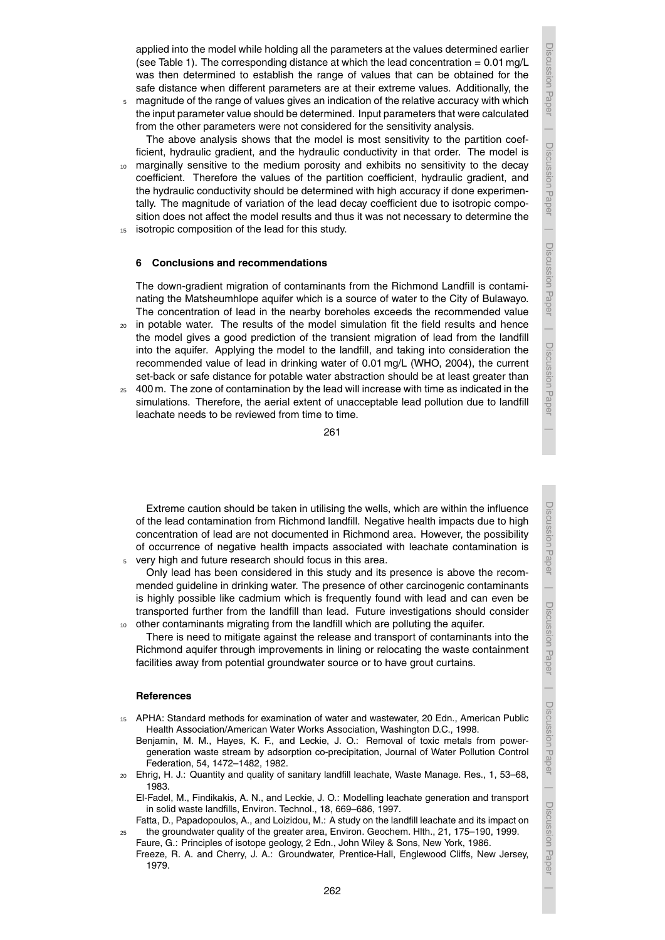Discussion Paper

Discussion Paper

Discussion Paper

Discussion Paper

Discussion Paper

Discussion Paper

applied into the model while holding all the parameters at the values determined earlier (see Table 1). The corresponding distance at which the lead concentration =  $0.01 \text{ mg/L}$ was then determined to establish the range of values that can be obtained for the safe distance when different parameters are at their extreme values. Additionally, the

<sup>5</sup> magnitude of the range of values gives an indication of the relative accuracy with which the input parameter value should be determined. Input parameters that were calculated from the other parameters were not considered for the sensitivity analysis.

The above analysis shows that the model is most sensitivity to the partition coefficient, hydraulic gradient, and the hydraulic conductivity in that order. The model is

- marginally sensitive to the medium porosity and exhibits no sensitivity to the decay coefficient. Therefore the values of the partition coefficient, hydraulic gradient, and the hydraulic conductivity should be determined with high accuracy if done experimentally. The magnitude of variation of the lead decay coefficient due to isotropic composition does not affect the model results and thus it was not necessary to determine the
- 15 isotropic composition of the lead for this study.

#### **6 Conclusions and recommendations**

The down-gradient migration of contaminants from the Richmond Landfill is contaminating the Matsheumhlope aquifer which is a source of water to the City of Bulawayo. The concentration of lead in the nearby boreholes exceeds the recommended value

- $20$  in potable water. The results of the model simulation fit the field results and hence the model gives a good prediction of the transient migration of lead from the landfill into the aquifer. Applying the model to the landfill, and taking into consideration the recommended value of lead in drinking water of 0.01 mg/L (WHO, 2004), the current set-back or safe distance for potable water abstraction should be at least greater than
- $25 400$  m. The zone of contamination by the lead will increase with time as indicated in the simulations. Therefore, the aerial extent of unacceptable lead pollution due to landfill leachate needs to be reviewed from time to time.

Extreme caution should be taken in utilising the wells, which are within the influence of the lead contamination from Richmond landfill. Negative health impacts due to high concentration of lead are not documented in Richmond area. However, the possibility of occurrence of negative health impacts associated with leachate contamination is very high and future research should focus in this area.

Only lead has been considered in this study and its presence is above the recommended guideline in drinking water. The presence of other carcinogenic contaminants is highly possible like cadmium which is frequently found with lead and can even be transported further from the landfill than lead. Future investigations should consider <sup>10</sup> other contaminants migrating from the landfill which are polluting the aquifer.

There is need to mitigate against the release and transport of contaminants into the Richmond aquifer through improvements in lining or relocating the waste containment facilities away from potential groundwater source or to have grout curtains.

#### **References**

- <sup>15</sup> APHA: Standard methods for examination of water and wastewater, 20 Edn., American Public Health Association/American Water Works Association, Washington D.C., 1998.
	- Benjamin, M. M., Hayes, K. F., and Leckie, J. O.: Removal of toxic metals from powergeneration waste stream by adsorption co-precipitation, Journal of Water Pollution Control Federation, 54, 1472–1482, 1982.
- <sup>20</sup> Ehrig, H. J.: Quantity and quality of sanitary landfill leachate, Waste Manage. Res., 1, 53–68, 1983.

El-Fadel, M., Findikakis, A. N., and Leckie, J. O.: Modelling leachate generation and transport in solid waste landfills, Environ. Technol., 18, 669–686, 1997.

Fatta, D., Papadopoulos, A., and Loizidou, M.: A study on the landfill leachate and its impact on <sup>25</sup> the groundwater quality of the greater area, Environ. Geochem. Hlth., 21, 175–190, 1999.

Faure, G.: Principles of isotope geology, 2 Edn., John Wiley & Sons, New York, 1986. Freeze, R. A. and Cherry, J. A.: Groundwater, Prentice-Hall, Englewood Cliffs, New Jersey, 1979.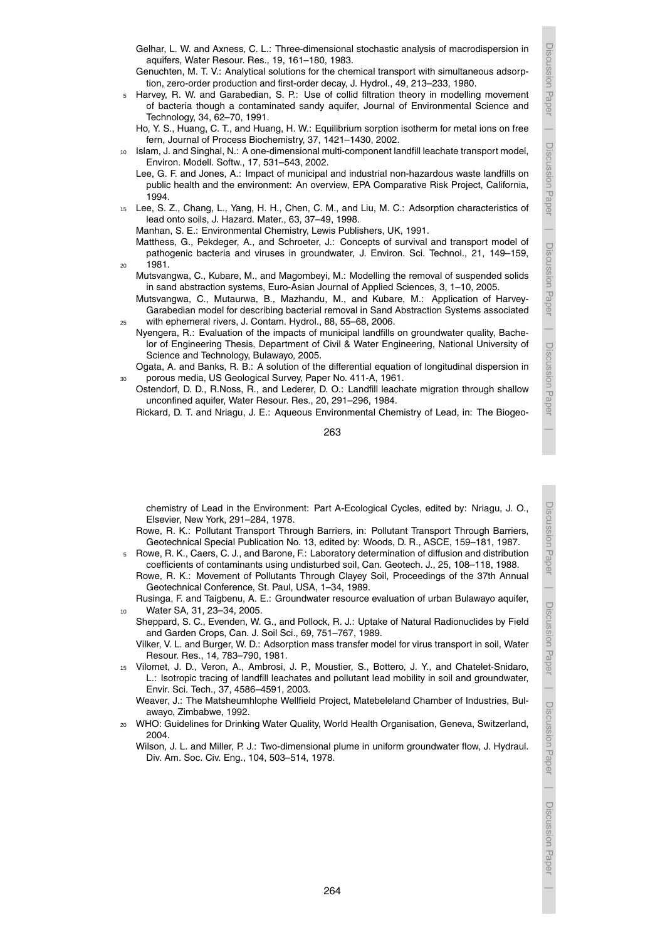Discussion Paper

Discussion Paper

Discussion Paper

Discussion Paper

Discussion Paper

Discussion Paper

| Discussion Paper Discussion Paper

- Gelhar, L. W. and Axness, C. L.: Three-dimensional stochastic analysis of macrodispersion in aquifers, Water Resour. Res., 19, 161–180, 1983.
- Genuchten, M. T. V.: Analytical solutions for the chemical transport with simultaneous adsorption, zero-order production and first-order decay, J. Hydrol., 49, 213–233, 1980.
- <sup>5</sup> Harvey, R. W. and Garabedian, S. P.: Use of collid filtration theory in modelling movement of bacteria though a contaminated sandy aquifer, Journal of Environmental Science and Technology, 34, 62–70, 1991.
	- Ho, Y. S., Huang, C. T., and Huang, H. W.: Equilibrium sorption isotherm for metal ions on free fern, Journal of Process Biochemistry, 37, 1421–1430, 2002.
- <sup>10</sup> Islam, J. and Singhal, N.: A one-dimensional multi-component landfill leachate transport model, Environ. Modell. Softw., 17, 531–543, 2002.
	- Lee, G. F. and Jones, A.: Impact of municipal and industrial non-hazardous waste landfills on public health and the environment: An overview, EPA Comparative Risk Project, California, 1994.
- <sup>15</sup> Lee, S. Z., Chang, L., Yang, H. H., Chen, C. M., and Liu, M. C.: Adsorption characteristics of lead onto soils, J. Hazard. Mater., 63, 37–49, 1998.

Manhan, S. E.: Environmental Chemistry, Lewis Publishers, UK, 1991.

Matthess, G., Pekdeger, A., and Schroeter, J.: Concepts of survival and transport model of pathogenic bacteria and viruses in groundwater, J. Environ. Sci. Technol., 21, 149–159, <sup>20</sup> 1981.

- Mutsvangwa, C., Kubare, M., and Magombeyi, M.: Modelling the removal of suspended solids in sand abstraction systems, Euro-Asian Journal of Applied Sciences, 3, 1–10, 2005.
- Mutsvangwa, C., Mutaurwa, B., Mazhandu, M., and Kubare, M.: Application of Harvey-Garabedian model for describing bacterial removal in Sand Abstraction Systems associated <sup>25</sup> with ephemeral rivers, J. Contam. Hydrol., 88, 55–68, 2006.
- Nyengera, R.: Evaluation of the impacts of municipal landfills on groundwater quality, Bachelor of Engineering Thesis, Department of Civil & Water Engineering, National University of Science and Technology, Bulawayo, 2005.
- Ogata, A. and Banks, R. B.: A solution of the differential equation of longitudinal dispersion in porous media, US Geological Survey, Paper No. 411-A, 1961.
- Ostendorf, D. D., R.Noss, R., and Lederer, D. O.: Landfill leachate migration through shallow unconfined aquifer, Water Resour. Res., 20, 291–296, 1984.

Rickard, D. T. and Nriagu, J. E.: Aqueous Environmental Chemistry of Lead, in: The Biogeo-

263

chemistry of Lead in the Environment: Part A-Ecological Cycles, edited by: Nriagu, J. O., Elsevier, New York, 291–284, 1978.

- Rowe, R. K.: Pollutant Transport Through Barriers, in: Pollutant Transport Through Barriers, Geotechnical Special Publication No. 13, edited by: Woods, D. R., ASCE, 159–181, 1987.
- <sup>5</sup> Rowe, R. K., Caers, C. J., and Barone, F.: Laboratory determination of diffusion and distribution coefficients of contaminants using undisturbed soil, Can. Geotech. J., 25, 108–118, 1988.
	- Rowe, R. K.: Movement of Pollutants Through Clayey Soil, Proceedings of the 37th Annual Geotechnical Conference, St. Paul, USA, 1–34, 1989.

Rusinga, F. and Taigbenu, A. E.: Groundwater resource evaluation of urban Bulawayo aquifer, Water SA, 31, 23-34, 2005.

Sheppard, S. C., Evenden, W. G., and Pollock, R. J.: Uptake of Natural Radionuclides by Field and Garden Crops, Can. J. Soil Sci., 69, 751–767, 1989.

Vilker, V. L. and Burger, W. D.: Adsorption mass transfer model for virus transport in soil, Water Resour. Res., 14, 783–790, 1981.

<sup>15</sup> Vilomet, J. D., Veron, A., Ambrosi, J. P., Moustier, S., Bottero, J. Y., and Chatelet-Snidaro, L.: Isotropic tracing of landfill leachates and pollutant lead mobility in soil and groundwater, Envir. Sci. Tech., 37, 4586–4591, 2003.

Weaver, J.: The Matsheumhlophe Wellfield Project, Matebeleland Chamber of Industries, Bulawayo, Zimbabwe, 1992.

<sup>20</sup> WHO: Guidelines for Drinking Water Quality, World Health Organisation, Geneva, Switzerland, 2004.

Wilson, J. L. and Miller, P. J.: Two-dimensional plume in uniform groundwater flow, J. Hydraul. Div. Am. Soc. Civ. Eng., 104, 503–514, 1978.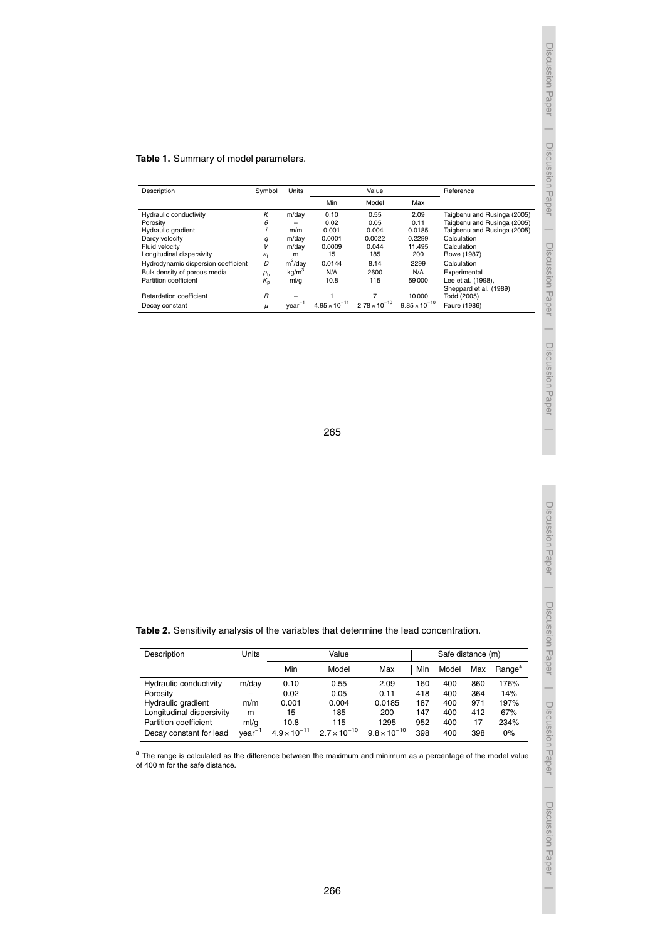## **Table 1.** Summary of model parameters.

| Description                         | Symbol         | Units              |                        | Value                  | Reference              |                             |
|-------------------------------------|----------------|--------------------|------------------------|------------------------|------------------------|-----------------------------|
|                                     |                |                    | Min                    | Model                  | Max                    |                             |
| Hydraulic conductivity              | К              | m/dav              | 0.10                   | 0.55                   | 2.09                   | Taigbenu and Rusinga (2005) |
| Porosity                            | $\theta$       |                    | 0.02                   | 0.05                   | 0.11                   | Taigbenu and Rusinga (2005) |
| Hydraulic gradient                  |                | m/m                | 0.001                  | 0.004                  | 0.0185                 | Taigbenu and Rusinga (2005) |
| Darcy velocity                      | q              | m/dav              | 0.0001                 | 0.0022                 | 0.2299                 | Calculation                 |
| Fluid velocity                      | V              | m/dav              | 0.0009                 | 0.044                  | 11.495                 | Calculation                 |
| Longitudinal dispersivity           | $a_{L}$        | m                  | 15                     | 185                    | 200                    | Rowe (1987)                 |
| Hydrodynamic dispersion coefficient | D              | $m^2$ /day         | 0.0144                 | 8.14                   | 2299                   | Calculation                 |
| Bulk density of porous media        | $\rho_{\tt b}$ | kq/m <sup>3</sup>  | N/A                    | 2600                   | N/A                    | Experimental                |
| Partition coefficient               | $K_{p}$        | ml/g               | 10.8                   | 115                    | 59000                  | Lee et al. (1998),          |
|                                     |                |                    |                        |                        |                        | Sheppard et al. (1989)      |
| <b>Retardation coefficient</b>      | $\overline{B}$ |                    |                        |                        | 10000                  | Todd (2005)                 |
| Decay constant                      | $\mu$          | year <sup>-1</sup> | $4.95 \times 10^{-11}$ | $2.78 \times 10^{-10}$ | $9.85 \times 10^{-10}$ | Faure (1986)                |

Discussion Paper

265

Discussion Paper

Discussion Paper

**Table 2.** Sensitivity analysis of the variables that determine the lead concentration.

| Description               | Units    | Value                 |                       |                       |     | Safe distance (m) |     |                    |  |  |
|---------------------------|----------|-----------------------|-----------------------|-----------------------|-----|-------------------|-----|--------------------|--|--|
|                           |          | Min                   | Model                 | Max                   | Min | Model             | Max | Range <sup>a</sup> |  |  |
| Hydraulic conductivity    | m/day    | 0.10                  | 0.55                  | 2.09                  | 160 | 400               | 860 | 176%               |  |  |
| Porosity                  |          | 0.02                  | 0.05                  | 0.11                  | 418 | 400               | 364 | 14%                |  |  |
| Hydraulic gradient        | m/m      | 0.001                 | 0.004                 | 0.0185                | 187 | 400               | 971 | 197%               |  |  |
| Longitudinal dispersivity | m        | 15                    | 185                   | 200                   | 147 | 400               | 412 | 67%                |  |  |
| Partition coefficient     | ml/q     | 10.8                  | 115                   | 1295                  | 952 | 400               | 17  | 234%               |  |  |
| Decay constant for lead   | $year-1$ | $4.9 \times 10^{-11}$ | $2.7 \times 10^{-10}$ | $9.8 \times 10^{-10}$ | 398 | 400               | 398 | 0%                 |  |  |

<sup>a</sup> The range is calculated as the difference between the maximum and minimum as a percentage of the model value of 400 m for the safe distance.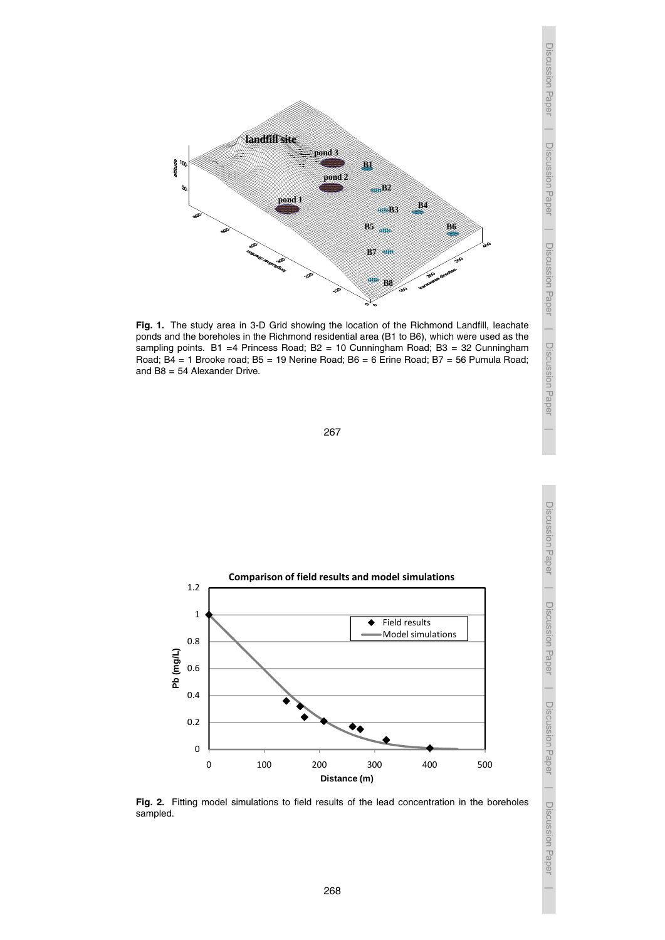

Fig. 1. The study area in 3-D Grid showing the location of the Richmond Landfill, leachate ponds and the boreholes in the Richmond residential area (B1 to B6), which were used as ponds and the boreholes in the Richmond residential area (B1 to B6), which were used as the points and the solenoles in the Hieriniona residential area (BT to Bo), which were doed as the sampling points. B1 =4 Princess Road; B2 = 10 Cunningham Road; B3 = 32 Cunningham  $\overline{B4}$  = 1 Brooke road; B5 = 19 Nerine Boad; B6 = 6 Erine Boad; B7 = 56 Pumula B Road; B4 = 1 Brooke road; B5 = 19 Nerine Road; B6 = 6 Erine Road; B7 = 56 Pumula Road;<br>and B8 = 54 Alexander Drive and B8 = 54 Alexander Drive.



initially lead-free aquifer prior to leachate contamination. The simulation was then run for the

shown in Figure 2, which shows a good fit of the model simulations to the lead concentration  $\overline{\mathcal{O}}$  obtained from the boreholes down gradient of the model simulations show gradient of the model simulations show gradient of the model simulations show gradient of the model simulations show gradient of the mode  $\frac{\partial \alpha}{\partial \alpha}$  $\frac{5}{60}$ 



Fig. 2. Fitting model simulations to field results of the lead concentration in the boreholes and position of sampled sampled.

Discussion Paper

Discussion Paper

Discussion Paper

Discussion Paper

Discussion Paper